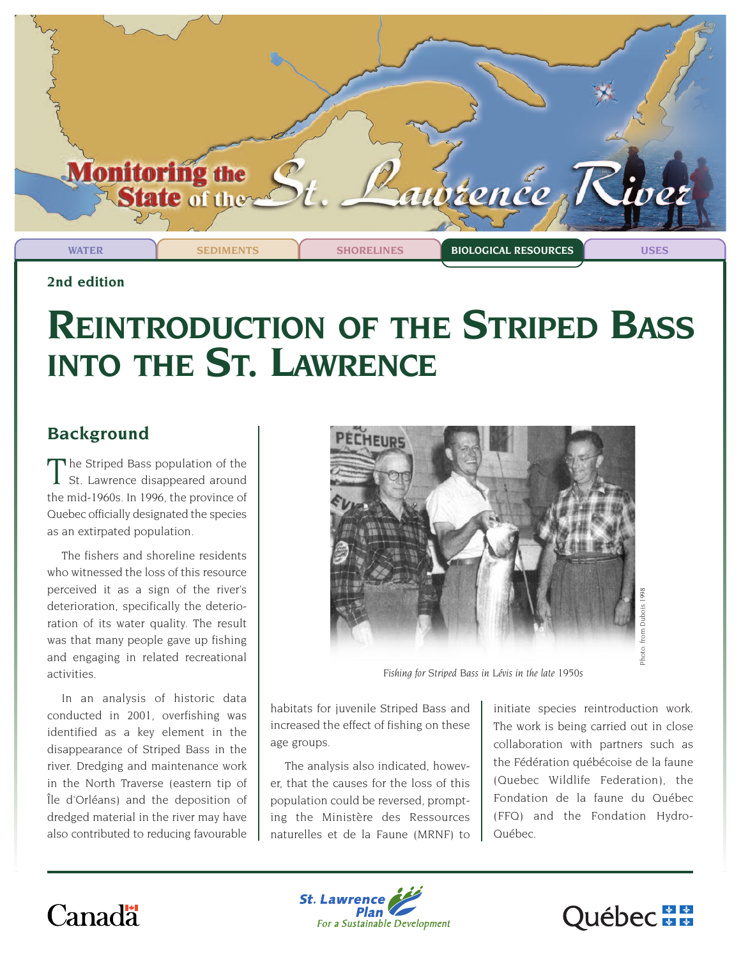

**2nd edition** 

# **REINTRODUCTION OF THE STRIPED BASS INTO THE ST. LAWRENCE**

## **Background**

The Striped Bass population of the St. Lawrence disappeared around the mid-1960s. In 1996, the province of Quebec officially designated the species as an extirpated population.

The fishers and shoreline residents who witnessed the loss of this resource perceived it as a sign of the river's deterioration, specifically the deterioration of its water quality. The result was that many people gave up fishing and engaging in related recreational activities.

In an analysis of historic data conducted in 2001, overfishing was identified as a key element in the disappearance of Striped Bass in the river. Dredging and maintenance work in the North Traverse (eastern tip of Île d'Orléans) and the deposition of dredged material in the river may have also contributed to reducing favourable



*Fishing for Striped Bass in Lévis in the late 1950s*

habitats for juvenile Striped Bass and increased the effect of fishing on these age groups.

The analysis also indicated, however, that the causes for the loss of this population could be reversed, prompting the Ministère des Ressources naturelles et de la Faune (MRNF) to

initiate species reintroduction work. The work is being carried out in close collaboration with partners such as the Fédération québécoise de la faune (Quebec Wildlife Federation), the Fondation de la faune du Québec (FFQ) and the Fondation Hydro-Québec.

## Canadä



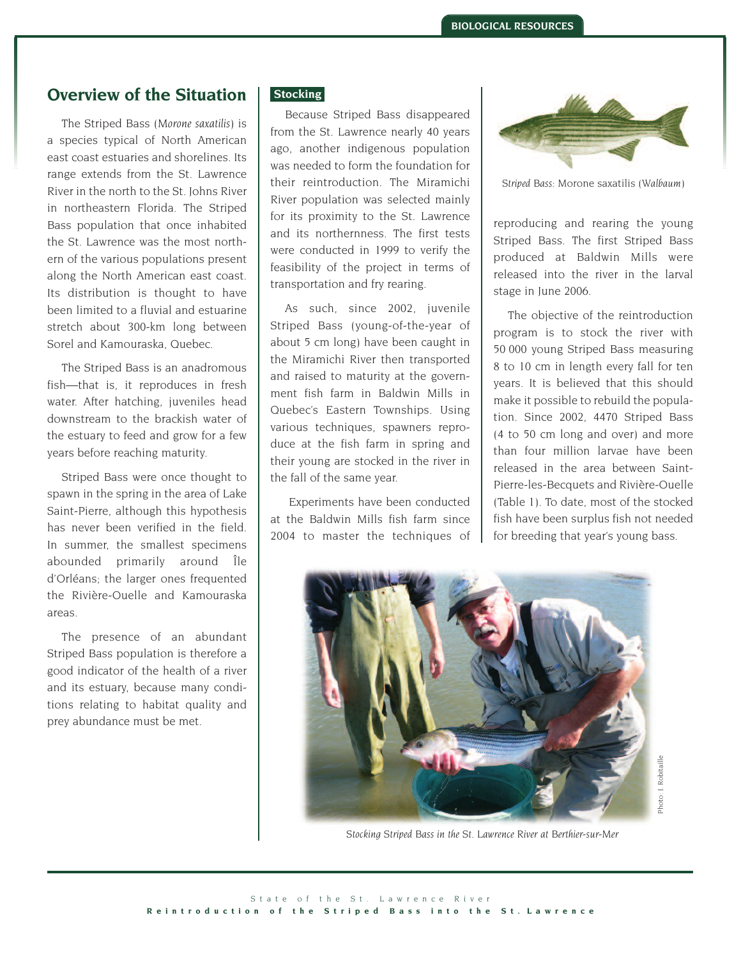## **Overview of the Situation**

The Striped Bass (*Morone saxatilis*) is a species typical of North American east coast estuaries and shorelines. Its range extends from the St. Lawrence River in the north to the St. Johns River in northeastern Florida. The Striped Bass population that once inhabited the St. Lawrence was the most northern of the various populations present along the North American east coast. Its distribution is thought to have been limited to a fluvial and estuarine stretch about 300-km long between Sorel and Kamouraska, Quebec.

The Striped Bass is an anadromous fish—that is, it reproduces in fresh water. After hatching, juveniles head downstream to the brackish water of the estuary to feed and grow for a few years before reaching maturity.

Striped Bass were once thought to spawn in the spring in the area of Lake Saint-Pierre, although this hypothesis has never been verified in the field. In summer, the smallest specimens abounded primarily around Île d'Orléans; the larger ones frequented the Rivière-Ouelle and Kamouraska areas.

The presence of an abundant Striped Bass population is therefore a good indicator of the health of a river and its estuary, because many conditions relating to habitat quality and prey abundance must be met.

#### **Stocking**

Because Striped Bass disappeared from the St. Lawrence nearly 40 years ago, another indigenous population was needed to form the foundation for their reintroduction. The Miramichi River population was selected mainly for its proximity to the St. Lawrence and its northernness. The first tests were conducted in 1999 to verify the feasibility of the project in terms of transportation and fry rearing.

As such, since 2002, juvenile Striped Bass (young-of-the-year of about 5 cm long) have been caught in the Miramichi River then transported and raised to maturity at the government fish farm in Baldwin Mills in Quebec's Eastern Townships. Using various techniques, spawners reproduce at the fish farm in spring and their young are stocked in the river in the fall of the same year.

Experiments have been conducted at the Baldwin Mills fish farm since 2004 to master the techniques of



*Striped Bass:* Morone saxatilis *(Walbaum)*

reproducing and rearing the young Striped Bass. The first Striped Bass produced at Baldwin Mills were released into the river in the larval stage in June 2006.

The objective of the reintroduction program is to stock the river with 50 000 young Striped Bass measuring 8 to 10 cm in length every fall for ten years. It is believed that this should make it possible to rebuild the population. Since 2002, 4470 Striped Bass (4 to 50 cm long and over) and more than four million larvae have been released in the area between Saint-Pierre-les-Becquets and Rivière-Ouelle (Table 1). To date, most of the stocked fish have been surplus fish not needed for breeding that year's young bass.



Photo: J. RobitaillePhoto: J. Robitaill

*Stocking Striped Bass in the St. Lawrence River at Berthier-sur-Mer*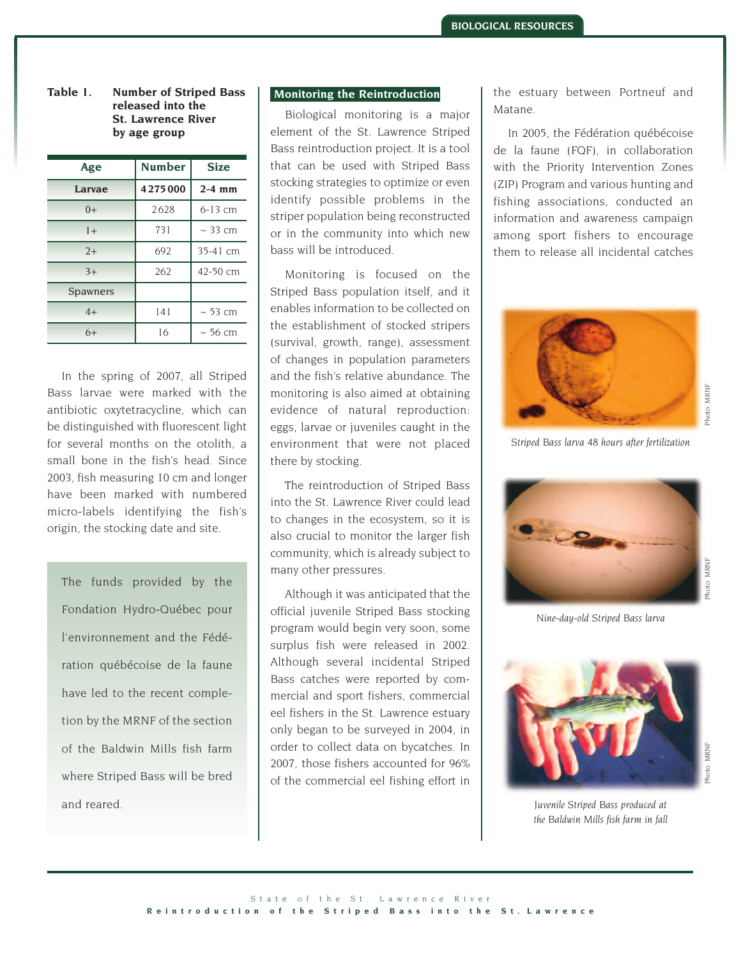**Table 1. Number of Striped Bass released into the St. Lawrence River by age group** 

| Age      | <b>Number</b> | <b>Size</b>   |  |
|----------|---------------|---------------|--|
| Larvae   | 4275000       | $2-4$ mm      |  |
| $() +$   | 2628          | $6-13$ cm     |  |
| $1+$     | 731           | $\sim$ 33 cm  |  |
| $2+$     | 692           | 35-41 cm      |  |
| $3+$     | 262           | 42-50 cm      |  |
| Spawners |               |               |  |
| $4+$     | 141           | $~\sim$ 53 cm |  |
| $6+$     | 16            | $~\sim$ 56 cm |  |

In the spring of 2007, all Striped Bass larvae were marked with the antibiotic oxytetracycline, which can be distinguished with fluorescent light for several months on the otolith, a small bone in the fish's head. Since 2003, fish measuring 10 cm and longer have been marked with numbered micro-labels identifying the fish's origin, the stocking date and site.

The funds provided by the Fondation Hydro-Québec pour l'environnement and the Fédération québécoise de la faune have led to the recent completion by the MRNF of the section of the Baldwin Mills fish farm where Striped Bass will be bred and reared.

#### **Monitoring the Reintroduction**

Biological monitoring is a major element of the St. Lawrence Striped Bass reintroduction project. It is a tool that can be used with Striped Bass stocking strategies to optimize or even identify possible problems in the striper population being reconstructed or in the community into which new bass will be introduced.

Monitoring is focused on the Striped Bass population itself, and it enables information to be collected on the establishment of stocked stripers (survival, growth, range), assessment of changes in population parameters and the fish's relative abundance. The monitoring is also aimed at obtaining evidence of natural reproduction: eggs, larvae or juveniles caught in the environment that were not placed there by stocking.

The reintroduction of Striped Bass into the St. Lawrence River could lead to changes in the ecosystem, so it is also crucial to monitor the larger fish community, which is already subject to many other pressures.

Although it was anticipated that the official juvenile Striped Bass stocking program would begin very soon, some surplus fish were released in 2002. Although several incidental Striped Bass catches were reported by commercial and sport fishers, commercial eel fishers in the St. Lawrence estuary only began to be surveyed in 2004, in order to collect data on bycatches. In 2007, those fishers accounted for 96% of the commercial eel fishing effort in the estuary between Portneuf and Matane.

In 2005, the Fédération québécoise de la faune (FQF), in collaboration with the Priority Intervention Zones (ZIP) Program and various hunting and fishing associations, conducted an information and awareness campaign among sport fishers to encourage them to release all incidental catches



*Striped Bass larva 48 hours after fertilization*



Photo: MRNF

*Nine-day-old Striped Bass larva*



Photo: MRNF

*Juvenile Striped Bass produced at the Baldwin Mills fish farm in fall*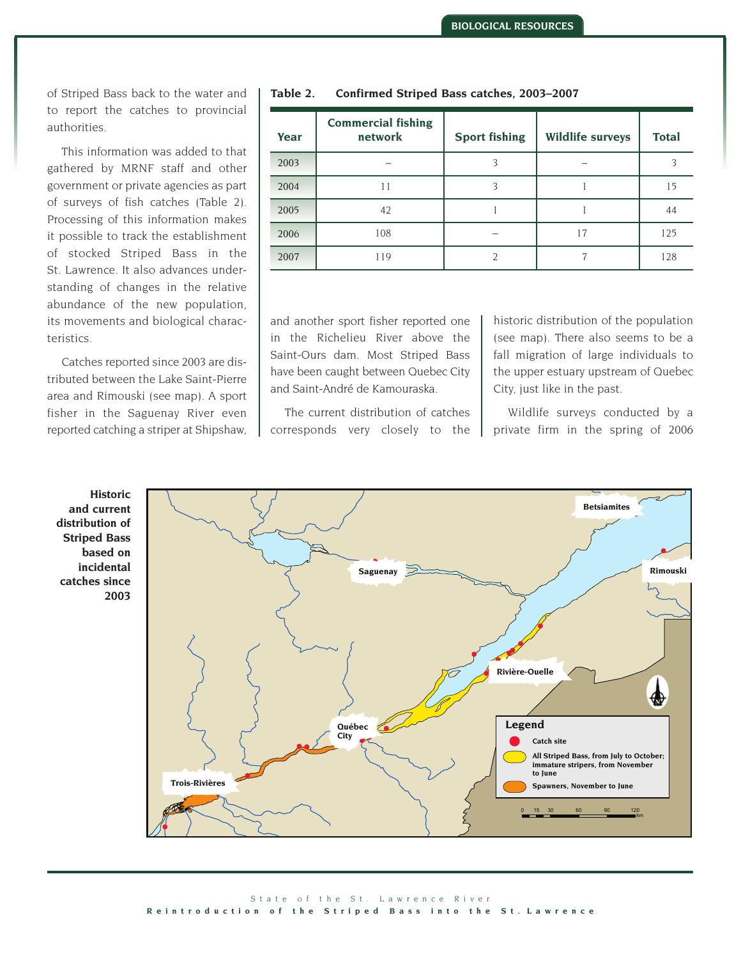of Striped Bass back to the water and to report the catches to provincial authorities.

This information was added to that gathered by MRNF staff and other government or private agencies as part of surveys of fish catches (Table 2). Processing of this information makes it possible to track the establishment of stocked Striped Bass in the St. Lawrence. It also advances understanding of changes in the relative abundance of the new population, its movements and biological characteristics.

Catches reported since 2003 are distributed between the Lake Saint-Pierre area and Rimouski (see map). A sport fisher in the Saguenay River even reported catching a striper at Shipshaw,

| Year | <b>Commercial fishing</b><br>network | <b>Sport fishing</b> | <b>Wildlife surveys</b> | <b>Total</b> |
|------|--------------------------------------|----------------------|-------------------------|--------------|
| 2003 |                                      | 3                    |                         | 2            |
| 2004 | 11                                   | 3                    |                         | 15           |
| 2005 | 42                                   |                      |                         | 44           |
| 2006 | 108                                  |                      | 17                      | 125          |
| 2007 | 119                                  |                      |                         | 128          |

**Table 2. Confirmed Striped Bass catches, 2003–2007** 

and another sport fisher reported one in the Richelieu River above the Saint-Ours dam. Most Striped Bass have been caught between Quebec City and Saint-André de Kamouraska.

The current distribution of catches corresponds very closely to the historic distribution of the population (see map). There also seems to be a fall migration of large individuals to the upper estuary upstream of Quebec City, just like in the past.

Wildlife surveys conducted by a private firm in the spring of 2006

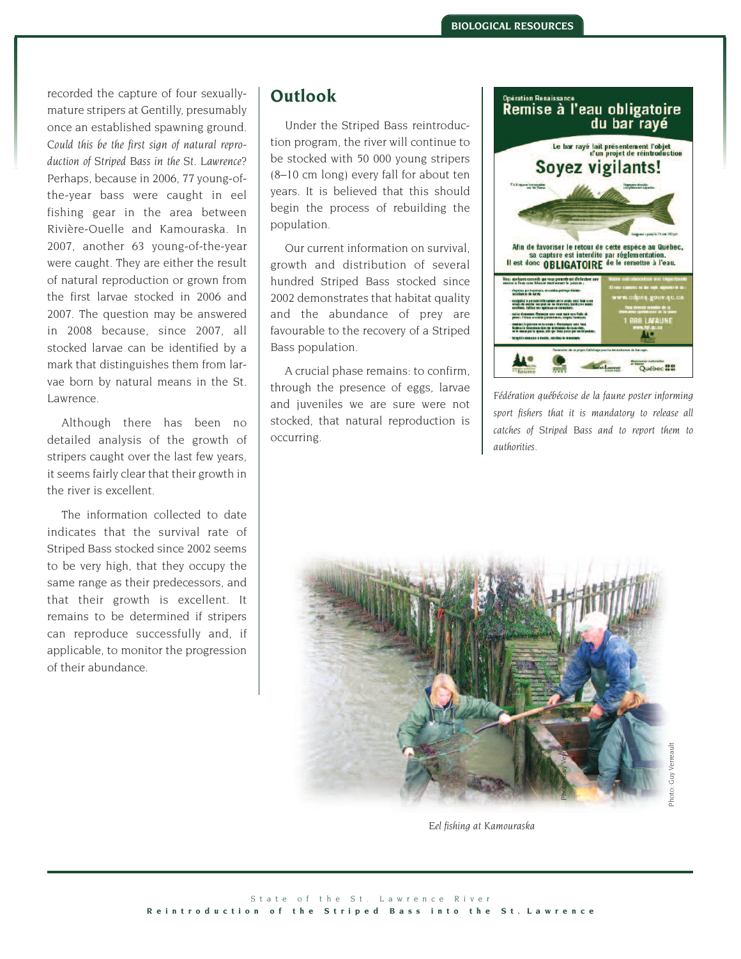recorded the capture of four sexuallymature stripers at Gentilly, presumably once an established spawning ground. *Could this be the first sign of natural reproduction of Striped Bass in the St. Lawrence?*  Perhaps, because in 2006, 77 young-ofthe-year bass were caught in eel fishing gear in the area between Rivière-Ouelle and Kamouraska. In 2007, another 63 young-of-the-year were caught. They are either the result of natural reproduction or grown from the first larvae stocked in 2006 and 2007. The question may be answered in 2008 because, since 2007, all stocked larvae can be identified by a mark that distinguishes them from larvae born by natural means in the St. Lawrence.

Although there has been no detailed analysis of the growth of stripers caught over the last few years, it seems fairly clear that their growth in the river is excellent.

The information collected to date indicates that the survival rate of Striped Bass stocked since 2002 seems to be very high, that they occupy the same range as their predecessors, and that their growth is excellent. It remains to be determined if stripers can reproduce successfully and, if applicable, to monitor the progression of their abundance.

## **Outlook**

Under the Striped Bass reintroduction program, the river will continue to be stocked with 50 000 young stripers (8–10 cm long) every fall for about ten years. It is believed that this should begin the process of rebuilding the population.

Our current information on survival, growth and distribution of several hundred Striped Bass stocked since 2002 demonstrates that habitat quality and the abundance of prey are favourable to the recovery of a Striped Bass population.

A crucial phase remains: to confirm, through the presence of eggs, larvae and juveniles we are sure were not stocked, that natural reproduction is occurring.



*Fédération québécoise de la faune poster informing sport fishers that it is mandatory to release all catches of Striped Bass and to report them to authorities.*



*Eel fishing at Kamouraska*